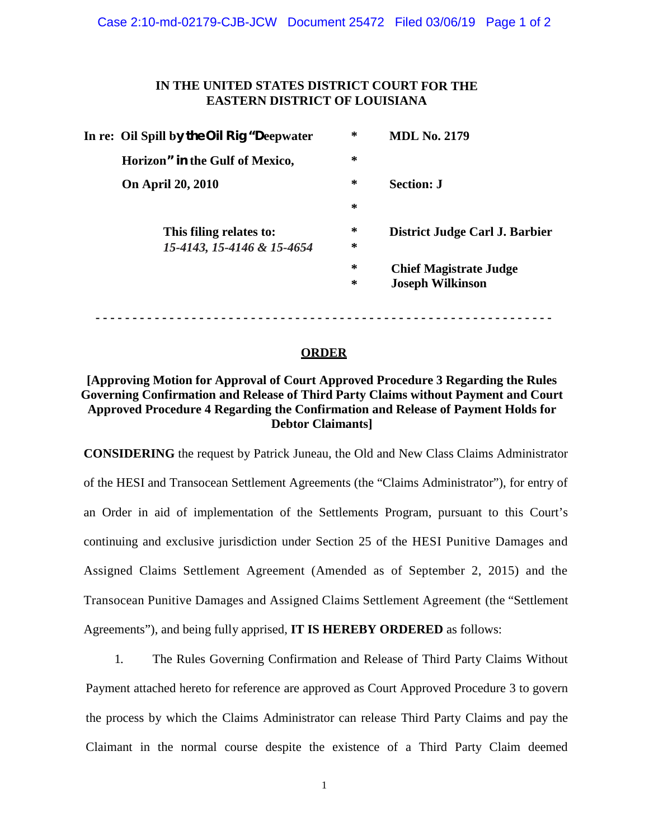### **IN THE UNITED STATES DISTRICT COURT FOR THE EASTERN DISTRICT OF LOUISIANA**

| <b>MDL No. 2179</b>            |
|--------------------------------|
|                                |
|                                |
|                                |
| District Judge Carl J. Barbier |
|                                |
| <b>Chief Magistrate Judge</b>  |
| <b>Joseph Wilkinson</b>        |
|                                |

#### **ORDER**

**. . . . . . . . . . . . . . . . . .** . . . . . . . . . . . .

### **[Approving Motion for Approval of Court Approved Procedure 3 Regarding the Rules Governing Confirmation and Release of Third Party Claims without Payment and Court Approved Procedure 4 Regarding the Confirmation and Release of Payment Holds for Debtor Claimants]**

**CONSIDERING** the request by Patrick Juneau, the Old and New Class Claims Administrator of the HESI and Transocean Settlement Agreements (the "Claims Administrator"), for entry of an Order in aid of implementation of the Settlements Program, pursuant to this Court's continuing and exclusive jurisdiction under Section 25 of the HESI Punitive Damages and Assigned Claims Settlement Agreement (Amended as of September 2, 2015) and the Transocean Punitive Damages and Assigned Claims Settlement Agreement (the "Settlement Agreements"), and being fully apprised, **IT IS HEREBY ORDERED** as follows:

1. The Rules Governing Confirmation and Release of Third Party Claims Without Payment attached hereto for reference are approved as Court Approved Procedure 3 to govern the process by which the Claims Administrator can release Third Party Claims and pay the Claimant in the normal course despite the existence of a Third Party Claim deemed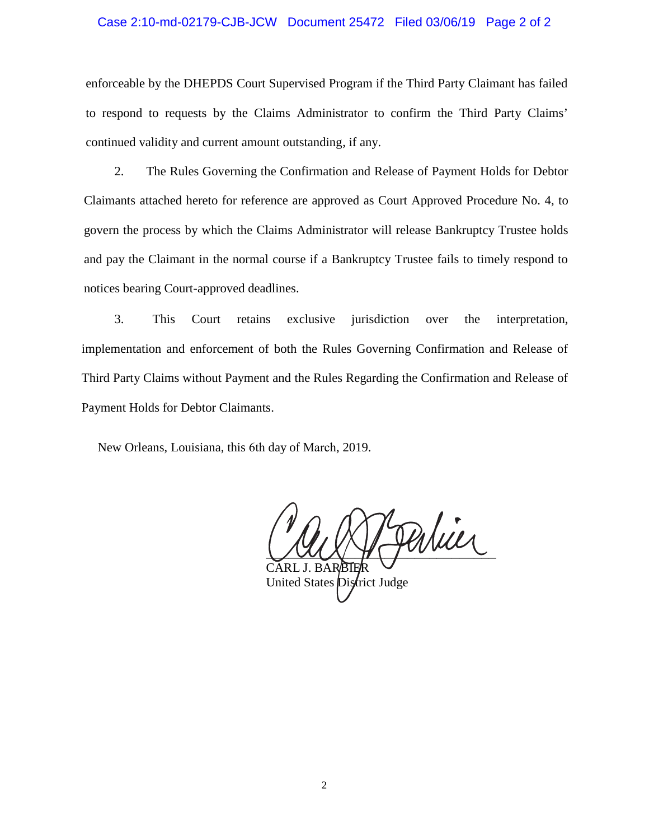#### Case 2:10-md-02179-CJB-JCW Document 25472 Filed 03/06/19 Page 2 of 2

enforceable by the DHEPDS Court Supervised Program if the Third Party Claimant has failed to respond to requests by the Claims Administrator to confirm the Third Party Claims' continued validity and current amount outstanding, if any.

2. The Rules Governing the Confirmation and Release of Payment Holds for Debtor Claimants attached hereto for reference are approved as Court Approved Procedure No. 4, to govern the process by which the Claims Administrator will release Bankruptcy Trustee holds and pay the Claimant in the normal course if a Bankruptcy Trustee fails to timely respond to notices bearing Court-approved deadlines.

3. This Court retains exclusive jurisdiction over the interpretation, implementation and enforcement of both the Rules Governing Confirmation and Release of Third Party Claims without Payment and the Rules Regarding the Confirmation and Release of Payment Holds for Debtor Claimants.

New Orleans, Louisiana, this 6th day of March, 2019.

Pertier

CARL J. BAR**BIER** United States District Judge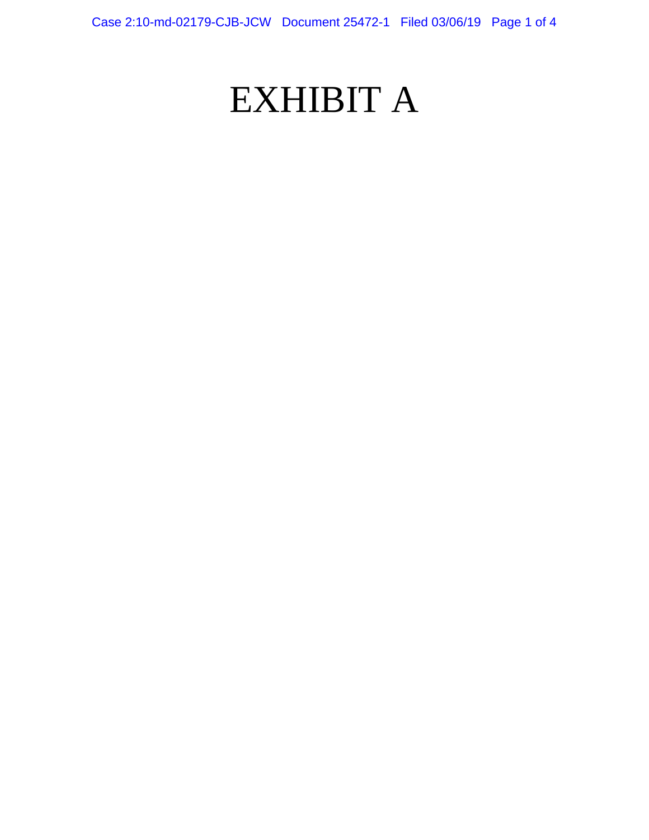Case 2:10-md-02179-CJB-JCW Document 25472-1 Filed 03/06/19 Page 1 of 4

# EXHIBIT A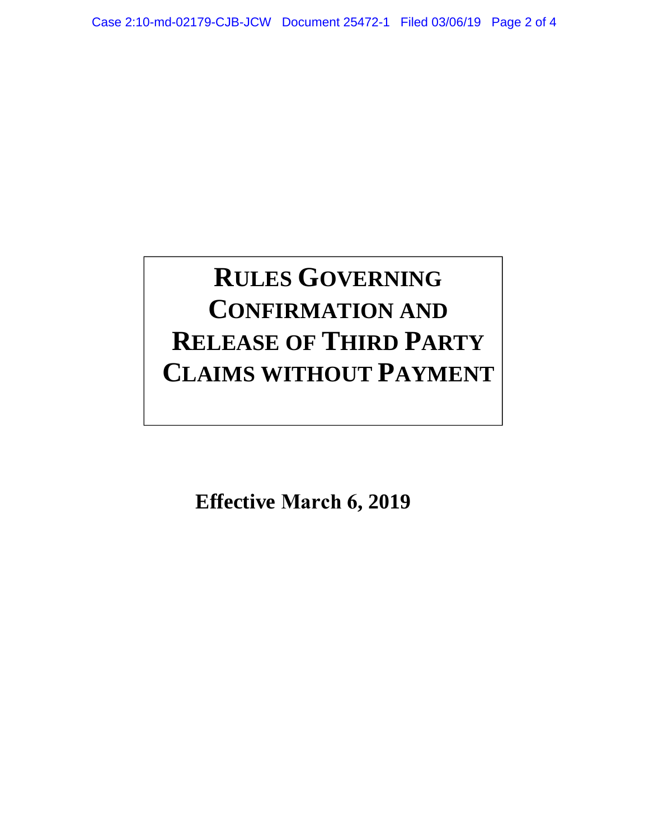## **R RULES GOVERNING CONFIRMATION AND RELEASE OF THIRD PARTY CLAIMS WITHOUT PAYMENT**

**Effective March 6, 2019**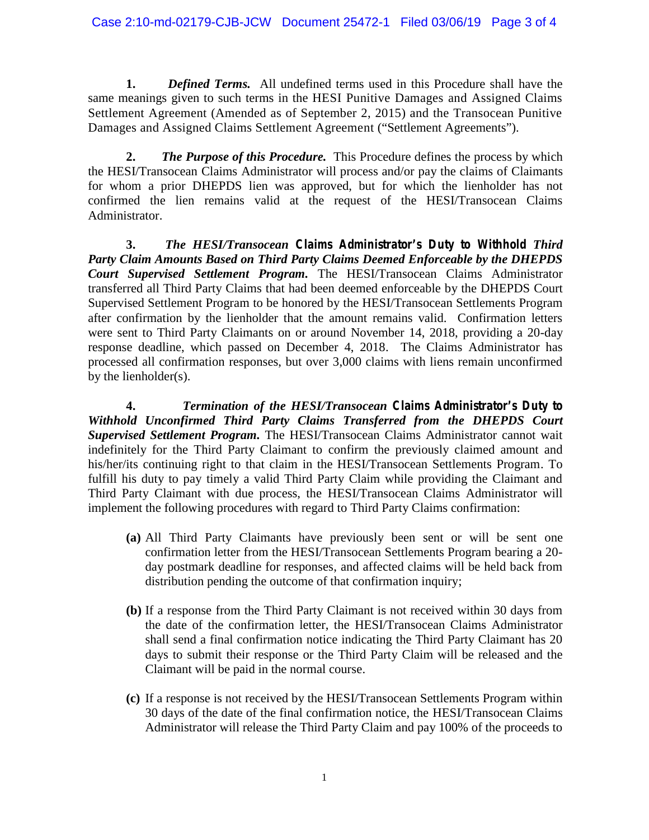**1.** *Defined Terms.* All undefined terms used in this Procedure shall have the same meanings given to such terms in the HESI Punitive Damages and Assigned Claims Settlement Agreement (Amended as of September 2, 2015) and the Transocean Punitive Damages and Assigned Claims Settlement Agreement ("Settlement Agreements").

**2.** *The Purpose of this Procedure.* This Procedure defines the process by which the HESI/Transocean Claims Administrator will process and/or pay the claims of Claimants for whom a prior DHEPDS lien was approved, but for which the lienholder has not confirmed the lien remains valid at the request of the HESI/Transocean Claims Administrator.

**3.** *The HESI/Transocean Claims Administrator's Duty to Withhold Third Party Claim Amounts Based on Third Party Claims Deemed Enforceable by the DHEPDS Court Supervised Settlement Program.* The HESI/Transocean Claims Administrator transferred all Third Party Claims that had been deemed enforceable by the DHEPDS Court Supervised Settlement Program to be honored by the HESI/Transocean Settlements Program after confirmation by the lienholder that the amount remains valid. Confirmation letters were sent to Third Party Claimants on or around November 14, 2018, providing a 20-day response deadline, which passed on December 4, 2018. The Claims Administrator has processed all confirmation responses, but over 3,000 claims with liens remain unconfirmed by the lienholder(s).

**4.** *Termination of the HESI/Transocean Claims Administrator's Duty to Withhold Unconfirmed Third Party Claims Transferred from the DHEPDS Court Supervised Settlement Program.* The HESI/Transocean Claims Administrator cannot wait indefinitely for the Third Party Claimant to confirm the previously claimed amount and his/her/its continuing right to that claim in the HESI/Transocean Settlements Program. To fulfill his duty to pay timely a valid Third Party Claim while providing the Claimant and Third Party Claimant with due process, the HESI/Transocean Claims Administrator will implement the following procedures with regard to Third Party Claims confirmation:

- **(a)** All Third Party Claimants have previously been sent or will be sent one confirmation letter from the HESI/Transocean Settlements Program bearing a 20 day postmark deadline for responses, and affected claims will be held back from distribution pending the outcome of that confirmation inquiry;
- **(b)** If a response from the Third Party Claimant is not received within 30 days from the date of the confirmation letter, the HESI/Transocean Claims Administrator shall send a final confirmation notice indicating the Third Party Claimant has 20 days to submit their response or the Third Party Claim will be released and the Claimant will be paid in the normal course.
- **(c)** If a response is not received by the HESI/Transocean Settlements Program within 30 days of the date of the final confirmation notice, the HESI/Transocean Claims Administrator will release the Third Party Claim and pay 100% of the proceeds to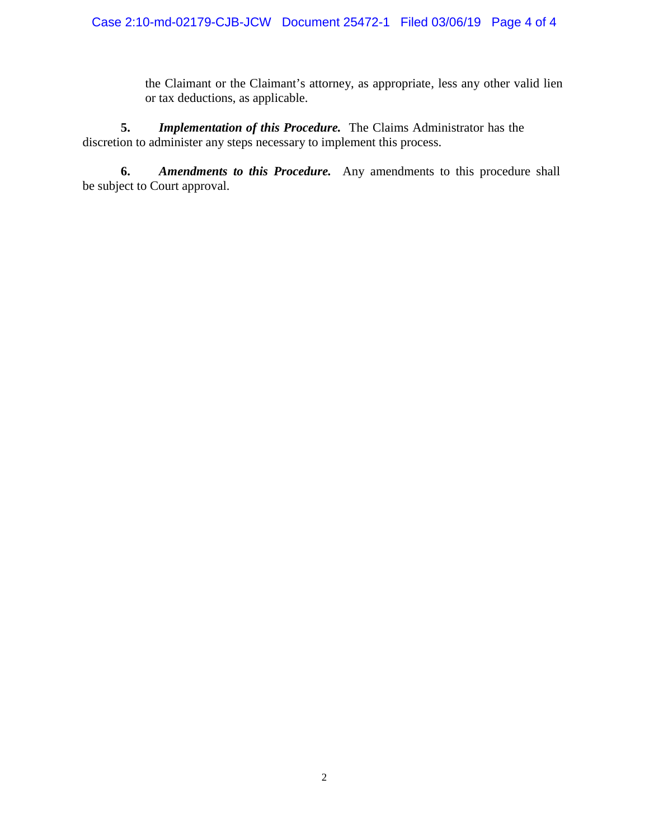the Claimant or the Claimant's attorney, as appropriate, less any other valid lien or tax deductions, as applicable.

**5.** *Implementation of this Procedure.* The Claims Administrator has the discretion to administer any steps necessary to implement this process.

**6.** *Amendments to this Procedure.* Any amendments to this procedure shall be subject to Court approval.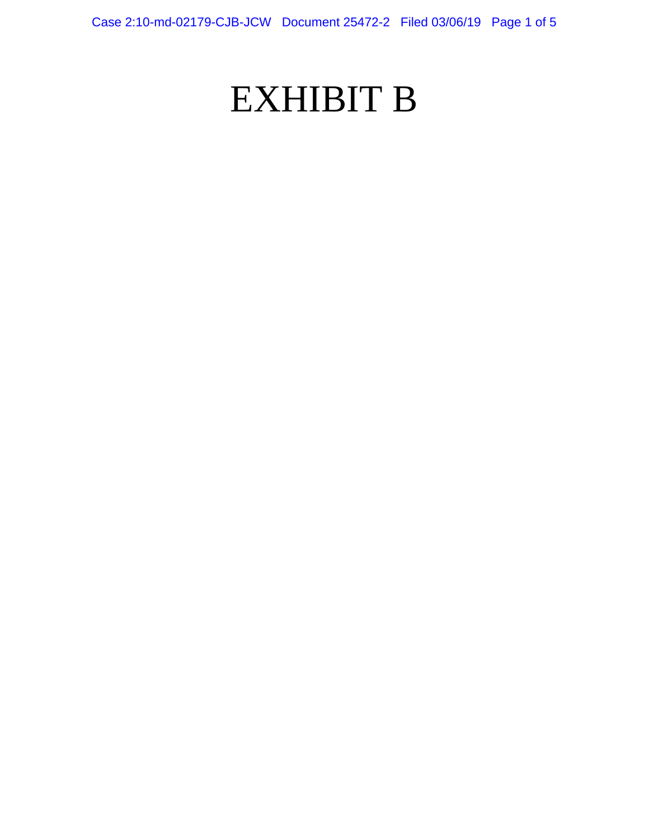Case 2:10-md-02179-CJB-JCW Document 25472-2 Filed 03/06/19 Page 1 of 5

## EXHIBIT B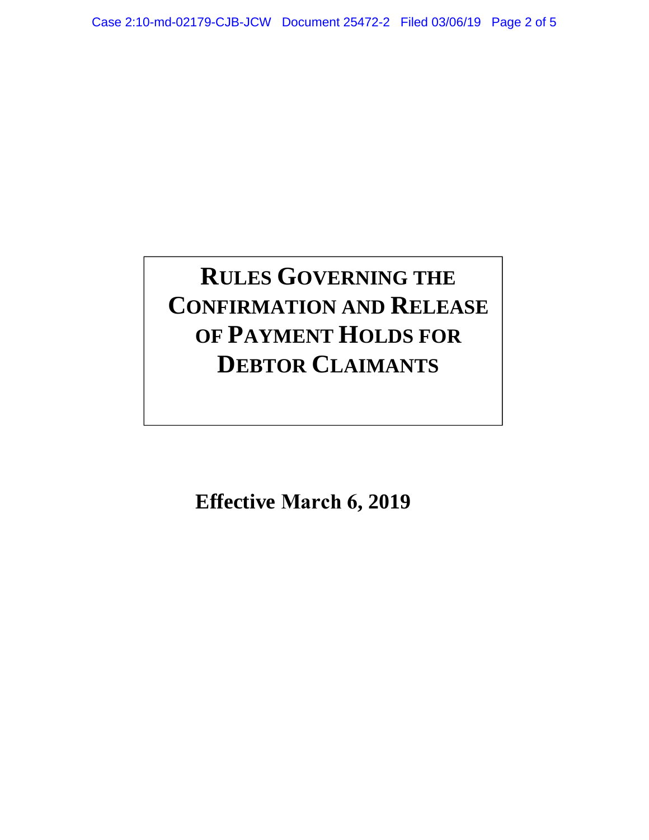### **R RULES GOVERNING THE CONFIRMATION AND RELEASE OF PAYMENT HOLDS FOR DEBTOR CLAIMANTS**

**Effective March 6, 2019**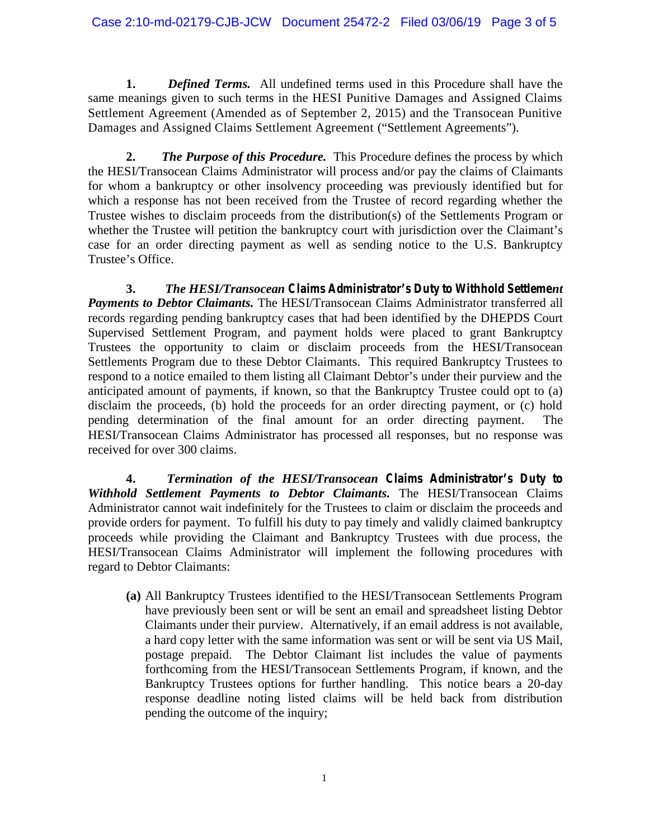**1.** *Defined Terms.* All undefined terms used in this Procedure shall have the same meanings given to such terms in the HESI Punitive Damages and Assigned Claims Settlement Agreement (Amended as of September 2, 2015) and the Transocean Punitive Damages and Assigned Claims Settlement Agreement ("Settlement Agreements").

**2.** *The Purpose of this Procedure.* This Procedure defines the process by which the HESI/Transocean Claims Administrator will process and/or pay the claims of Claimants for whom a bankruptcy or other insolvency proceeding was previously identified but for which a response has not been received from the Trustee of record regarding whether the Trustee wishes to disclaim proceeds from the distribution(s) of the Settlements Program or whether the Trustee will petition the bankruptcy court with jurisdiction over the Claimant's case for an order directing payment as well as sending notice to the U.S. Bankruptcy Trustee's Office.

**3.** *The HESI/Transocean Claims Administrator's Duty to Withhold Settlement Payments to Debtor Claimants.* The HESI/Transocean Claims Administrator transferred all records regarding pending bankruptcy cases that had been identified by the DHEPDS Court Supervised Settlement Program, and payment holds were placed to grant Bankruptcy Trustees the opportunity to claim or disclaim proceeds from the HESI/Transocean Settlements Program due to these Debtor Claimants. This required Bankruptcy Trustees to respond to a notice emailed to them listing all Claimant Debtor's under their purview and the anticipated amount of payments, if known, so that the Bankruptcy Trustee could opt to (a) disclaim the proceeds, (b) hold the proceeds for an order directing payment, or (c) hold pending determination of the final amount for an order directing payment. The HESI/Transocean Claims Administrator has processed all responses, but no response was received for over 300 claims.

**4.** *Termination of the HESI/Transocean Claims Administrator's Duty to Withhold Settlement Payments to Debtor Claimants.* The HESI/Transocean Claims Administrator cannot wait indefinitely for the Trustees to claim or disclaim the proceeds and provide orders for payment. To fulfill his duty to pay timely and validly claimed bankruptcy proceeds while providing the Claimant and Bankruptcy Trustees with due process, the HESI/Transocean Claims Administrator will implement the following procedures with regard to Debtor Claimants:

**(a)** All Bankruptcy Trustees identified to the HESI/Transocean Settlements Program have previously been sent or will be sent an email and spreadsheet listing Debtor Claimants under their purview. Alternatively, if an email address is not available, a hard copy letter with the same information was sent or will be sent via US Mail, postage prepaid. The Debtor Claimant list includes the value of payments forthcoming from the HESI/Transocean Settlements Program, if known, and the Bankruptcy Trustees options for further handling. This notice bears a 20-day response deadline noting listed claims will be held back from distribution pending the outcome of the inquiry;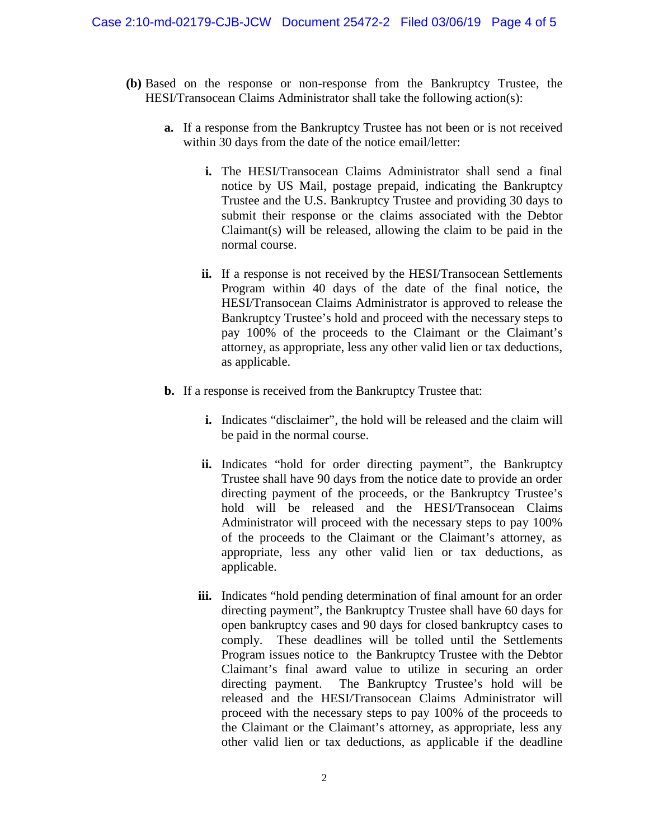- **(b)** Based on the response or non-response from the Bankruptcy Trustee, the HESI/Transocean Claims Administrator shall take the following action(s):
	- **a.** If a response from the Bankruptcy Trustee has not been or is not received within 30 days from the date of the notice email/letter:
		- **i.** The HESI/Transocean Claims Administrator shall send a final notice by US Mail, postage prepaid, indicating the Bankruptcy Trustee and the U.S. Bankruptcy Trustee and providing 30 days to submit their response or the claims associated with the Debtor Claimant(s) will be released, allowing the claim to be paid in the normal course.
		- **ii.** If a response is not received by the HESI/Transocean Settlements Program within 40 days of the date of the final notice, the HESI/Transocean Claims Administrator is approved to release the Bankruptcy Trustee's hold and proceed with the necessary steps to pay 100% of the proceeds to the Claimant or the Claimant's attorney, as appropriate, less any other valid lien or tax deductions, as applicable.
	- **b.** If a response is received from the Bankruptcy Trustee that:
		- **i.** Indicates "disclaimer", the hold will be released and the claim will be paid in the normal course.
		- ii. Indicates "hold for order directing payment", the Bankruptcy Trustee shall have 90 days from the notice date to provide an order directing payment of the proceeds, or the Bankruptcy Trustee's hold will be released and the HESI/Transocean Claims Administrator will proceed with the necessary steps to pay 100% of the proceeds to the Claimant or the Claimant's attorney, as appropriate, less any other valid lien or tax deductions, as applicable.
		- **iii.** Indicates "hold pending determination of final amount for an order directing payment", the Bankruptcy Trustee shall have 60 days for open bankruptcy cases and 90 days for closed bankruptcy cases to comply. These deadlines will be tolled until the Settlements Program issues notice to the Bankruptcy Trustee with the Debtor Claimant's final award value to utilize in securing an order directing payment. The Bankruptcy Trustee's hold will be released and the HESI/Transocean Claims Administrator will proceed with the necessary steps to pay 100% of the proceeds to the Claimant or the Claimant's attorney, as appropriate, less any other valid lien or tax deductions, as applicable if the deadline